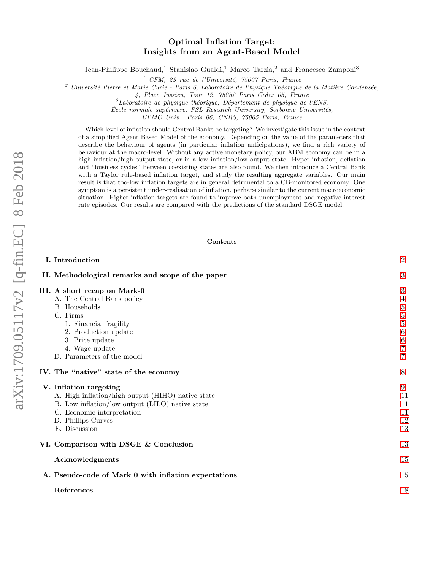# Optimal Inflation Target: Insights from an Agent-Based Model

Jean-Philippe Bouchaud,<sup>1</sup> Stanislao Gualdi,<sup>1</sup> Marco Tarzia,<sup>2</sup> and Francesco Zamponi<sup>3</sup>

 $1$  CFM, 23 rue de l'Université, 75007 Paris, France

<sup>2</sup> Université Pierre et Marie Curie - Paris 6, Laboratoire de Physique Théorique de la Matière Condensée,

4, Place Jussieu, Tour 12, 75252 Paris Cedex 05, France

 ${}^{3}$ Laboratoire de physique théorique, Département de physique de l'ENS,

 $\acute{E}cole$  normale supérieure, PSL Research University, Sorbonne Universités,

UPMC Univ. Paris 06, CNRS, 75005 Paris, France

Which level of inflation should Central Banks be targeting? We investigate this issue in the context of a simplified Agent Based Model of the economy. Depending on the value of the parameters that describe the behaviour of agents (in particular inflation anticipations), we find a rich variety of behaviour at the macro-level. Without any active monetary policy, our ABM economy can be in a high inflation/high output state, or in a low inflation/low output state. Hyper-inflation, deflation and "business cycles" between coexisting states are also found. We then introduce a Central Bank with a Taylor rule-based inflation target, and study the resulting aggregate variables. Our main result is that too-low inflation targets are in general detrimental to a CB-monitored economy. One symptom is a persistent under-realisation of inflation, perhaps similar to the current macroeconomic situation. Higher inflation targets are found to improve both unemployment and negative interest rate episodes. Our results are compared with the predictions of the standard DSGE model.

## Contents

| I. Introduction                                                                                                                                                                                     | $\overline{2}$                                     |
|-----------------------------------------------------------------------------------------------------------------------------------------------------------------------------------------------------|----------------------------------------------------|
| II. Methodological remarks and scope of the paper                                                                                                                                                   | 3                                                  |
| III. A short recap on Mark-0<br>A. The Central Bank policy<br><b>B.</b> Households<br>C. Firms<br>1. Financial fragility<br>2. Production update                                                    | 3<br>4<br>$\bf 5$<br>$\bf 5$<br>$\bf 5$<br>$\,6\,$ |
| 3. Price update<br>4. Wage update<br>D. Parameters of the model                                                                                                                                     | $\,6\,$<br>$\overline{7}$<br>7                     |
| IV. The "native" state of the economy                                                                                                                                                               | 8                                                  |
| V. Inflation targeting<br>A. High inflation/high output (HIHO) native state<br>B. Low inflation/low output (LILO) native state<br>C. Economic interpretation<br>D. Phillips Curves<br>E. Discussion | 9<br>11<br>11<br>11<br>12<br>13                    |
| VI. Comparison with DSGE & Conclusion                                                                                                                                                               | 13                                                 |
| Acknowledgments                                                                                                                                                                                     | 15                                                 |
| A. Pseudo-code of Mark 0 with inflation expectations                                                                                                                                                | 15                                                 |
| References                                                                                                                                                                                          | 18                                                 |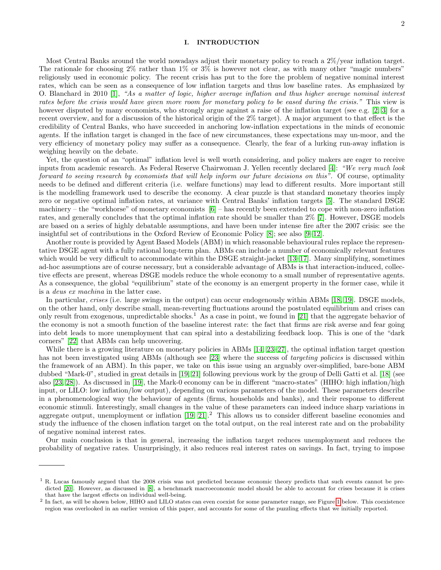### <span id="page-1-0"></span>I. INTRODUCTION

Most Central Banks around the world nowadays adjust their monetary policy to reach a 2%/year inflation target. The rationale for choosing 2% rather than 1% or 3% is however not clear, as with many other "magic numbers" religiously used in economic policy. The recent crisis has put to the fore the problem of negative nominal interest rates, which can be seen as a consequence of low inflation targets and thus low baseline rates. As emphasized by O. Blanchard in 2010 [\[1\]](#page-17-1), "As a matter of logic, higher average inflation and thus higher average nominal interest rates before the crisis would have given more room for monetary policy to be eased during the crisis." This view is however disputed by many economists, who strongly argue against a raise of the inflation target (see e.g. [\[2,](#page-17-2) [3\]](#page-17-3) for a recent overview, and for a discussion of the historical origin of the 2% target). A major argument to that effect is the credibility of Central Banks, who have succeeded in anchoring low-inflation expectations in the minds of economic agents. If the inflation target is changed in the face of new circumstances, these expectations may un-moor, and the very efficiency of monetary policy may suffer as a consequence. Clearly, the fear of a lurking run-away inflation is weighing heavily on the debate.

Yet, the question of an "optimal" inflation level is well worth considering, and policy makers are eager to receive inputs from academic research. As Federal Reserve Chairwoman J. Yellen recently declared [\[4\]](#page-17-4): "We very much look forward to seeing research by economists that will help inform our future decisions on this". Of course, optimality needs to be defined and different criteria (i.e. welfare functions) may lead to different results. More important still is the modelling framework used to describe the economy. A clear puzzle is that standard monetary theories imply zero or negative optimal inflation rates, at variance with Central Banks' inflation targets [\[5\]](#page-17-5). The standard DSGE machinery – the "workhorse" of monetary economists  $[6]$  – has recently been extended to cope with non-zero inflation rates, and generally concludes that the optimal inflation rate should be smaller than 2% [\[7\]](#page-17-7). However, DSGE models are based on a series of highly debatable assumptions, and have been under intense fire after the 2007 crisis: see the insightful set of contributions in the Oxford Review of Economic Policy [\[8\]](#page-17-8); see also [\[9–](#page-17-9)[12\]](#page-17-10).

Another route is provided by Agent Based Models (ABM) in which reasonable behavioural rules replace the representative DSGE agent with a fully rational long-term plan. ABMs can include a number of economically relevant features which would be very difficult to accommodate within the DSGE straight-jacket [\[13](#page-17-11)[–17\]](#page-17-12). Many simplifying, sometimes ad-hoc assumptions are of course necessary, but a considerable advantage of ABMs is that interaction-induced, collective effects are present, whereas DSGE models reduce the whole economy to a small number of representative agents. As a consequence, the global "equilibrium" state of the economy is an emergent property in the former case, while it is a deus ex machina in the latter case.

In particular, *crises* (i.e. large swings in the output) can occur endogenously within ABMs [\[18,](#page-17-13) [19\]](#page-17-14). DSGE models, on the other hand, only describe small, mean-reverting fluctuations around the postulated equilibrium and crises can only result from exogenous, unpredictable shocks.<sup>1</sup> As a case in point, we found in [\[21\]](#page-17-15) that the aggregate behavior of the economy is not a smooth function of the baseline interest rate: the fact that firms are risk averse and fear going into debt leads to more unemployment that can spiral into a destabilizing feedback loop. This is one of the "dark corners" [\[22\]](#page-17-16) that ABMs can help uncovering.

While there is a growing literature on monetary policies in ABMs [\[14,](#page-17-17) [23–](#page-17-18)[27\]](#page-17-19), the optimal inflation target question has not been investigated using ABMs (although see [\[23\]](#page-17-18) where the success of *targeting policies* is discussed within the framework of an ABM). In this paper, we take on this issue using an arguably over-simplified, bare-bone ABM dubbed "Mark-0", studied in great details in [\[19,](#page-17-14) [21\]](#page-17-15) following previous work by the group of Delli Gatti et al. [\[18\]](#page-17-13) (see also [\[23,](#page-17-18) [28\]](#page-17-20)). As discussed in [\[19\]](#page-17-14), the Mark-0 economy can be in different "macro-states" (HIHO: high inflation/high input, or LILO: low inflation/low output), depending on various parameters of the model. These parameters describe in a phenomenological way the behaviour of agents (firms, households and banks), and their response to different economic stimuli. Interestingly, small changes in the value of these parameters can indeed induce sharp variations in aggregate output, unemployment or inflation  $[19, 21]$  $[19, 21]$ .<sup>2</sup> This allows us to consider different baseline economies and study the influence of the chosen inflation target on the total output, on the real interest rate and on the probability of negative nominal interest rates.

Our main conclusion is that in general, increasing the inflation target reduces unemployment and reduces the probability of negative rates. Unsurprisingly, it also reduces real interest rates on savings. In fact, trying to impose

<sup>&</sup>lt;sup>1</sup> R. Lucas famously argued that the 2008 crisis was not predicted because economic theory predicts that such events cannot be pre-dicted [\[20\]](#page-17-21). However, as discussed in [\[8\]](#page-17-8), a benchmark macroeconomic model should be able to account for crises because it is crises that have the largest effects on individual well-being.

<sup>&</sup>lt;sup>2</sup> In fact, as will be shown below, HIHO and LILO states can even coexist for some parameter range, see Figure [1](#page-7-1) below. This coexistence region was overlooked in an earlier version of this paper, and accounts for some of the puzzling effects that we initially reported.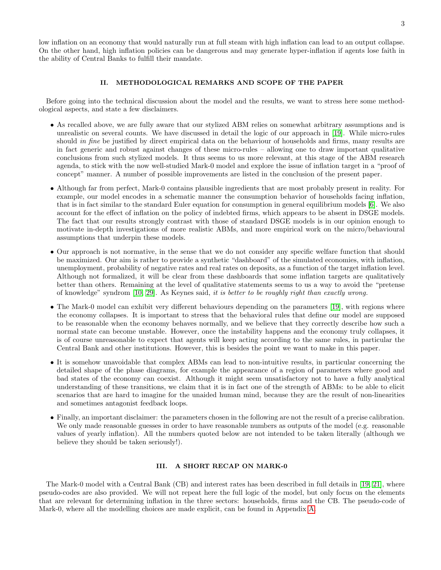low inflation on an economy that would naturally run at full steam with high inflation can lead to an output collapse. On the other hand, high inflation policies can be dangerous and may generate hyper-inflation if agents lose faith in the ability of Central Banks to fulfill their mandate.

## <span id="page-2-0"></span>II. METHODOLOGICAL REMARKS AND SCOPE OF THE PAPER

Before going into the technical discussion about the model and the results, we want to stress here some methodological aspects, and state a few disclaimers.

- As recalled above, we are fully aware that our stylized ABM relies on somewhat arbitrary assumptions and is unrealistic on several counts. We have discussed in detail the logic of our approach in [\[19\]](#page-17-14). While micro-rules should in fine be justified by direct empirical data on the behaviour of households and firms, many results are in fact generic and robust against changes of these micro-rules – allowing one to draw important qualitative conclusions from such stylized models. It thus seems to us more relevant, at this stage of the ABM research agenda, to stick with the now well-studied Mark-0 model and explore the issue of inflation target in a "proof of concept" manner. A number of possible improvements are listed in the conclusion of the present paper.
- Although far from perfect, Mark-0 contains plausible ingredients that are most probably present in reality. For example, our model encodes in a schematic manner the consumption behavior of households facing inflation, that is in fact similar to the standard Euler equation for consumption in general equilibrium models [\[6\]](#page-17-6). We also account for the effect of inflation on the policy of indebted firms, which appears to be absent in DSGE models. The fact that our results strongly contrast with those of standard DSGE models is in our opinion enough to motivate in-depth investigations of more realistic ABMs, and more empirical work on the micro/behavioural assumptions that underpin these models.
- Our approach is not normative, in the sense that we do not consider any specific welfare function that should be maximized. Our aim is rather to provide a synthetic "dashboard" of the simulated economies, with inflation, unemployment, probability of negative rates and real rates on deposits, as a function of the target inflation level. Although not formalized, it will be clear from these dashboards that some inflation targets are qualitatively better than others. Remaining at the level of qualitative statements seems to us a way to avoid the "pretense of knowledge" syndrom [\[10,](#page-17-22) [29\]](#page-17-23). As Keynes said, it is better to be roughly right than exactly wrong.
- The Mark-0 model can exhibit very different behaviours depending on the parameters [\[19\]](#page-17-14), with regions where the economy collapses. It is important to stress that the behavioral rules that define our model are supposed to be reasonable when the economy behaves normally, and we believe that they correctly describe how such a normal state can become unstable. However, once the instability happens and the economy truly collapses, it is of course unreasonable to expect that agents will keep acting according to the same rules, in particular the Central Bank and other institutions. However, this is besides the point we want to make in this paper.
- It is somehow unavoidable that complex ABMs can lead to non-intuitive results, in particular concerning the detailed shape of the phase diagrams, for example the appearance of a region of parameters where good and bad states of the economy can coexist. Although it might seem unsatisfactory not to have a fully analytical understanding of these transitions, we claim that it is in fact one of the strength of ABMs: to be able to elicit scenarios that are hard to imagine for the unaided human mind, because they are the result of non-linearities and sometimes antagonist feedback loops.
- Finally, an important disclaimer: the parameters chosen in the following are not the result of a precise calibration. We only made reasonable guesses in order to have reasonable numbers as outputs of the model (e.g. reasonable values of yearly inflation). All the numbers quoted below are not intended to be taken literally (although we believe they should be taken seriously!).

## <span id="page-2-1"></span>III. A SHORT RECAP ON MARK-0

The Mark-0 model with a Central Bank (CB) and interest rates has been described in full details in [\[19,](#page-17-14) [21\]](#page-17-15), where pseudo-codes are also provided. We will not repeat here the full logic of the model, but only focus on the elements that are relevant for determining inflation in the three sectors: households, firms and the CB. The pseudo-code of Mark-0, where all the modelling choices are made explicit, can be found in Appendix [A.](#page-14-1)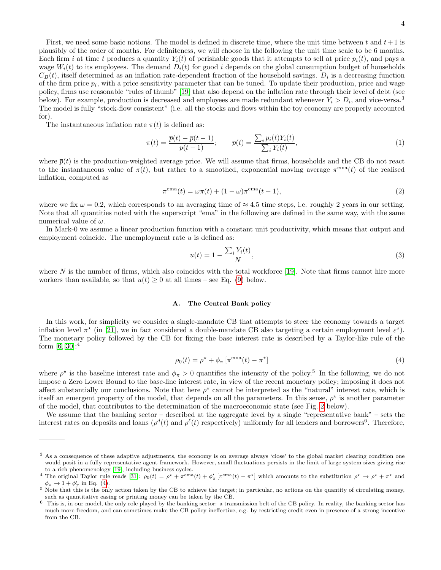First, we need some basic notions. The model is defined in discrete time, where the unit time between t and  $t+1$  is plausibly of the order of months. For definiteness, we will choose in the following the unit time scale to be 6 months. Each firm i at time t produces a quantity  $Y_i(t)$  of perishable goods that it attempts to sell at price  $p_i(t)$ , and pays a wage  $W_i(t)$  to its employees. The demand  $D_i(t)$  for good i depends on the global consumption budget of households  $C_B(t)$ , itself determined as an inflation rate-dependent fraction of the household savings.  $D_i$  is a decreasing function of the firm price  $p_i$ , with a price sensitivity parameter that can be tuned. To update their production, price and wage policy, firms use reasonable "rules of thumb" [\[19\]](#page-17-14) that also depend on the inflation rate through their level of debt (see below). For example, production is decreased and employees are made redundant whenever  $Y_i > D_i$ , and vice-versa.<sup>3</sup> The model is fully "stock-flow consistent" (i.e. all the stocks and flows within the toy economy are properly accounted for).

The instantaneous inflation rate  $\pi(t)$  is defined as:

$$
\pi(t) = \frac{\overline{p}(t) - \overline{p}(t-1)}{\overline{p}(t-1)}; \qquad \overline{p}(t) = \frac{\sum_{i} p_i(t) Y_i(t)}{\sum_{i} Y_i(t)},\tag{1}
$$

where  $\bar{p}(t)$  is the production-weighted average price. We will assume that firms, households and the CB do not react to the instantaneous value of  $\pi(t)$ , but rather to a smoothed, exponential moving average  $\pi^{\text{ema}}(t)$  of the realised inflation, computed as

$$
\pi^{\text{ema}}(t) = \omega \pi(t) + (1 - \omega)\pi^{\text{ema}}(t - 1),\tag{2}
$$

where we fix  $\omega = 0.2$ , which corresponds to an averaging time of  $\approx 4.5$  time steps, i.e. roughly 2 years in our setting. Note that all quantities noted with the superscript "ema" in the following are defined in the same way, with the same numerical value of  $\omega$ .

In Mark-0 we assume a linear production function with a constant unit productivity, which means that output and employment coincide. The unemployment rate  $u$  is defined as:

$$
u(t) = 1 - \frac{\sum_{i} Y_i(t)}{N},\tag{3}
$$

where  $N$  is the number of firms, which also coincides with the total workforce [\[19\]](#page-17-14). Note that firms cannot hire more workers than available, so that  $u(t) \geq 0$  at all times – see Eq. [\(9\)](#page-5-2) below.

## <span id="page-3-0"></span>A. The Central Bank policy

In this work, for simplicity we consider a single-mandate CB that attempts to steer the economy towards a target inflation level  $\pi^*$  (in [\[21\]](#page-17-15), we in fact considered a double-mandate CB also targeting a certain employment level  $\epsilon^*$ ). The monetary policy followed by the CB for fixing the base interest rate is described by a Taylor-like rule of the form [\[6,](#page-17-6) [30\]](#page-17-24):<sup>4</sup>

<span id="page-3-1"></span>
$$
\rho_0(t) = \rho^\star + \phi_\pi \left[ \pi^{\text{ema}}(t) - \pi^\star \right] \tag{4}
$$

where  $\rho^*$  is the baseline interest rate and  $\phi_\pi > 0$  quantifies the intensity of the policy.<sup>5</sup> In the following, we do not impose a Zero Lower Bound to the base-line interest rate, in view of the recent monetary policy; imposing it does not affect substantially our conclusions. Note that here  $\rho^*$  cannot be interpreted as the "natural" interest rate, which is itself an emergent property of the model, that depends on all the parameters. In this sense,  $\rho^*$  is another parameter of the model, that contributes to the determination of the macroeconomic state (see Fig. [2](#page-8-1) below).

We assume that the banking sector – described at the aggregate level by a single "representative bank" – sets the interest rates on deposits and loans ( $\rho^d(t)$  and  $\rho^{\ell}(t)$  respectively) uniformly for all lenders and borrowers<sup>6</sup>. Therefore,

<sup>&</sup>lt;sup>3</sup> As a consequence of these adaptive adjustments, the economy is on average always 'close' to the global market clearing condition one would posit in a fully representative agent framework. However, small fluctuations persists in the limit of large system sizes giving rise to a rich phenomenology [\[19\]](#page-17-14), including business cycles.

<sup>&</sup>lt;sup>4</sup> The original Taylor rule reads [\[31\]](#page-18-0):  $\rho_0(t) = \rho^* + \pi^{\text{ema}}(t) + \phi'_\pi[\pi^{\text{ema}}(t) - \pi^*]$  which amounts to the substitution  $\rho^* \to \rho^* + \pi^*$  and  $\phi_{\pi} \to 1 + \phi'_{\pi}$  in Eq. [\(4\)](#page-3-1).

<sup>5</sup> Note that this is the only action taken by the CB to achieve the target; in particular, no actions on the quantity of circulating money, such as quantitative easing or printing money can be taken by the CB.

<sup>&</sup>lt;sup>6</sup> This is, in our model, the only role played by the banking sector: a transmission belt of the CB policy. In reality, the banking sector has much more freedom, and can sometimes make the CB policy ineffective, e.g. by restricting credit even in presence of a strong incentive from the CB.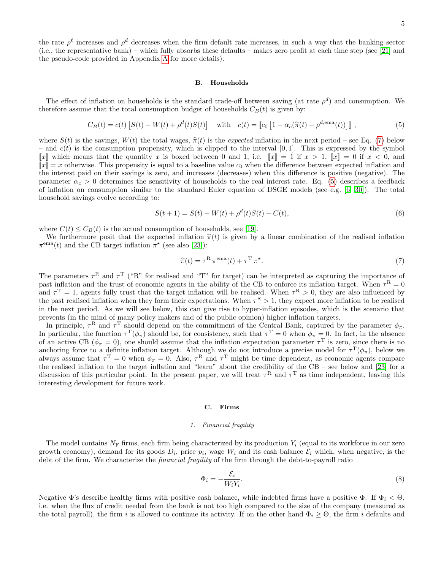the rate  $\rho^{\ell}$  increases and  $\rho^{d}$  decreases when the firm default rate increases, in such a way that the banking sector (i.e., the representative bank) – which fully absorbs these defaults – makes zero profit at each time step (see [\[21\]](#page-17-15) and the pseudo-code provided in Appendix [A](#page-14-1) for more details).

#### <span id="page-4-0"></span>B. Households

The effect of inflation on households is the standard trade-off between saving (at rate  $\rho^d$ ) and consumption. We therefore assume that the total consumption budget of households  $C_B(t)$  is given by:

<span id="page-4-4"></span>
$$
C_B(t) = c(t) \left[ S(t) + W(t) + \rho^d(t)S(t) \right] \quad \text{with} \quad c(t) = \left[ c_0 \left[ 1 + \alpha_c(\hat{\pi}(t) - \rho^{d,\text{ema}}(t)) \right] \right],\tag{5}
$$

where  $S(t)$  is the savings,  $W(t)$  the total wages,  $\hat{\pi}(t)$  is the expected inflation in the next period – see Eq. [\(7\)](#page-4-3) below – and  $c(t)$  is the consumption propensity, which is clipped to the interval [0,1]. This is expressed by the symbol ||x|| which means that the quantity x is boxed between 0 and 1, i.e.  $\|x\| = 1$  if  $x > 1$ ,  $\|x\| = 0$  if  $x < 0$ , and  $\llbracket x \rrbracket = x$  otherwise. This propensity is equal to a baseline value  $c_0$  when the difference between expected inflation and the interest paid on their savings is zero, and increases (decreases) when this difference is positive (negative). The parameter  $\alpha_c > 0$  determines the sensitivity of households to the real interest rate. Eq. [\(5\)](#page-4-4) describes a feedback of inflation on consumption similar to the standard Euler equation of DSGE models (see e.g. [\[6,](#page-17-6) [30\]](#page-17-24)). The total household savings evolve according to:

$$
S(t+1) = S(t) + W(t) + \rho^{d}(t)S(t) - C(t),
$$
\n(6)

where  $C(t) \leq C_B(t)$  is the actual consumption of households, see [\[19\]](#page-17-14).

We furthermore posit that the expected inflation  $\hat{\pi}(t)$  is given by a linear combination of the realised inflation  $\pi^{\text{ema}}(t)$  and the CB target inflation  $\pi^{\star}$  (see also [\[23\]](#page-17-18)):

<span id="page-4-3"></span>
$$
\widehat{\pi}(t) = \tau^{\rm R} \,\pi^{\rm ema}(t) + \tau^{\rm T} \,\pi^{\star}.\tag{7}
$$

The parameters  $\tau^R$  and  $\tau^T$  ("R" for realised and "T" for target) can be interpreted as capturing the importance of past inflation and the trust of economic agents in the ability of the CB to enforce its inflation target. When  $\tau^R = 0$ and  $\tau^T = 1$ , agents fully trust that the target inflation will be realised. When  $\tau^R > 0$ , they are also influenced by the past realised inflation when they form their expectations. When  $\tau^R > 1$ , they expect more inflation to be realised in the next period. As we will see below, this can give rise to hyper-inflation episodes, which is the scenario that prevents (in the mind of many policy makers and of the public opinion) higher inflation targets.

In principle,  $\tau^R$  and  $\tau^T$  should depend on the commitment of the Central Bank, captured by the parameter  $\phi_{\pi}$ . In particular, the function  $\tau^{\mathrm{T}}(\phi_{\pi})$  should be, for consistency, such that  $\tau^{\mathrm{T}} = 0$  when  $\phi_{\pi} = 0$ . In fact, in the absence of an active CB ( $\phi_{\pi} = 0$ ), one should assume that the inflation expectation parameter  $\tau^{\text{T}}$  is zero, since there is no anchoring force to a definite inflation target. Although we do not introduce a precise model for  $\tau^T(\phi_{\pi})$ , below we always assume that  $\tau^T = 0$  when  $\phi_{\pi} = 0$ . Also,  $\tau^R$  and  $\tau^T$  might be time dependent, as economic agents compare the realised inflation to the target inflation and "learn" about the credibility of the CB – see below and [\[23\]](#page-17-18) for a discussion of this particular point. In the present paper, we will treat  $\tau^R$  and  $\tau^T$  as time independent, leaving this interesting development for future work.

#### <span id="page-4-1"></span>C. Firms

#### <span id="page-4-2"></span>1. Financial fragility

The model contains  $N_F$  firms, each firm being characterized by its production  $Y_i$  (equal to its workforce in our zero growth economy), demand for its goods  $D_i$ , price  $p_i$ , wage  $W_i$  and its cash balance  $\mathcal{E}_i$  which, when negative, is the debt of the firm. We characterize the *financial fragility* of the firm through the debt-to-payroll ratio

$$
\Phi_i = -\frac{\mathcal{E}_i}{W_i Y_i}.\tag{8}
$$

Negative  $\Phi$ 's describe healthy firms with positive cash balance, while indebted firms have a positive  $\Phi$ . If  $\Phi_i < \Theta$ , i.e. when the flux of credit needed from the bank is not too high compared to the size of the company (measured as the total payroll), the firm i is allowed to continue its activity. If on the other hand  $\Phi_i \geq \Theta$ , the firm i defaults and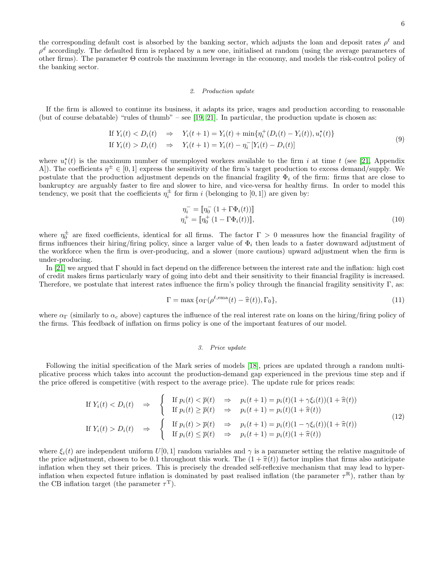the corresponding default cost is absorbed by the banking sector, which adjusts the loan and deposit rates  $\rho^{\ell}$  and  $\rho^d$  accordingly. The defaulted firm is replaced by a new one, initialised at random (using the average parameters of other firms). The parameter Θ controls the maximum leverage in the economy, and models the risk-control policy of the banking sector.

### <span id="page-5-0"></span>2. Production update

If the firm is allowed to continue its business, it adapts its price, wages and production according to reasonable (but of course debatable) "rules of thumb" – see [\[19,](#page-17-14) [21\]](#page-17-15). In particular, the production update is chosen as:

If 
$$
Y_i(t) < D_i(t) \Rightarrow Y_i(t+1) = Y_i(t) + \min\{\eta_i^+(D_i(t) - Y_i(t)), u_i^*(t)\}\
$$
  
\nIf  $Y_i(t) > D_i(t) \Rightarrow Y_i(t+1) = Y_i(t) - \eta_i^-[Y_i(t) - D_i(t)]$ \n
$$
(9)
$$

<span id="page-5-2"></span>where  $u_i^*(t)$  is the maximum number of unemployed workers available to the firm i at time t (see [\[21,](#page-17-15) Appendix A). The coefficients  $\eta^{\pm} \in [0,1]$  express the sensitivity of the firm's target production to excess demand/supply. We postulate that the production adjustment depends on the financial fragility  $\Phi_i$  of the firm: firms that are close to bankruptcy are arguably faster to fire and slower to hire, and vice-versa for healthy firms. In order to model this tendency, we posit that the coefficients  $\eta_i^{\pm}$  for firm i (belonging to [0, 1]) are given by:

$$
\eta_i^- = \llbracket \eta_0^- \left( 1 + \Gamma \Phi_i(t) \right) \rrbracket
$$
\n
$$
\eta_i^+ = \llbracket \eta_0^+ \left( 1 - \Gamma \Phi_i(t) \right) \rrbracket, \tag{10}
$$

where  $\eta_0^{\pm}$  are fixed coefficients, identical for all firms. The factor  $\Gamma > 0$  measures how the financial fragility of firms influences their hiring/firing policy, since a larger value of  $\Phi_i$  then leads to a faster downward adjustment of the workforce when the firm is over-producing, and a slower (more cautious) upward adjustment when the firm is under-producing.

In [\[21\]](#page-17-15) we argued that Γ should in fact depend on the difference between the interest rate and the inflation: high cost of credit makes firms particularly wary of going into debt and their sensitivity to their financial fragility is increased. Therefore, we postulate that interest rates influence the firm's policy through the financial fragility sensitivity Γ, as:

<span id="page-5-3"></span>
$$
\Gamma = \max \{ \alpha_{\Gamma}(\rho^{\ell, \text{ema}}(t) - \hat{\pi}(t)), \Gamma_0 \},\tag{11}
$$

where  $\alpha_{\Gamma}$  (similarly to  $\alpha_c$  above) captures the influence of the real interest rate on loans on the hiring/firing policy of the firms. This feedback of inflation on firms policy is one of the important features of our model.

### <span id="page-5-1"></span>3. Price update

Following the initial specification of the Mark series of models [\[18\]](#page-17-13), prices are updated through a random multiplicative process which takes into account the production-demand gap experienced in the previous time step and if the price offered is competitive (with respect to the average price). The update rule for prices reads:

If 
$$
Y_i(t) < D_i(t) \Rightarrow \begin{cases} \text{If } p_i(t) < \overline{p}(t) \Rightarrow p_i(t+1) = p_i(t)(1+\gamma \xi_i(t))(1+\hat{\pi}(t)) \\ \text{If } p_i(t) \geq \overline{p}(t) \Rightarrow p_i(t+1) = p_i(t)(1+\hat{\pi}(t)) \end{cases}
$$
  
\nIf  $Y_i(t) > D_i(t) \Rightarrow \begin{cases} \text{If } p_i(t) > \overline{p}(t) \Rightarrow p_i(t+1) = p_i(t)(1-\gamma \xi_i(t))(1+\hat{\pi}(t)) \\ \text{If } p_i(t) \leq \overline{p}(t) \Rightarrow p_i(t+1) = p_i(t)(1+\hat{\pi}(t)) \end{cases}$ \n
$$
(12)
$$

where  $\xi_i(t)$  are independent uniform  $U[0, 1]$  random variables and  $\gamma$  is a parameter setting the relative magnitude of the price adjustment, chosen to be 0.1 throughout this work. The  $(1 + \hat{\pi}(t))$  factor implies that firms also anticipate inflation when they set their prices. This is precisely the dreaded self-reflexive mechanism that may lead to hyperinflation when expected future inflation is dominated by past realised inflation (the parameter  $\tau^R$ ), rather than by the CB inflation target (the parameter  $\tau^{\mathrm{T}}$ ).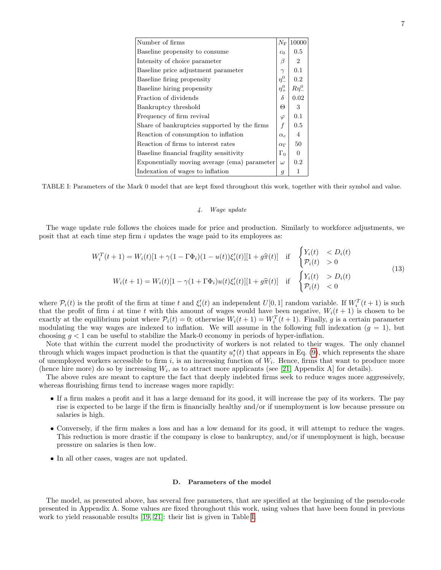| Number of firms                              | $N_{\rm F}$       | 10000           |
|----------------------------------------------|-------------------|-----------------|
| Baseline propensity to consume               | c <sub>0</sub>    | 0.5             |
| Intensity of choice parameter                | β                 | $\overline{2}$  |
| Baseline price adjustment parameter          | $\gamma$          | 0.1             |
| Baseline firing propensity                   | $\eta_{-}^{0}$    | 0.2             |
| Baseline hiring propensity                   | $\eta^0_+$        | $R\eta_{-}^{0}$ |
| Fraction of dividends                        | $\delta$          | 0.02            |
| Bankruptcy threshold                         | Θ                 | 3               |
| Frequency of firm revival                    | $\varphi$         | 0.1             |
| Share of bankruptcies supported by the firms | f                 | 0.5             |
| Reaction of consumption to inflation         | $\alpha_c$        | 4               |
| Reaction of firms to interest rates          | $\alpha_{\Gamma}$ | 50              |
| Baseline financial fragility sensitivity     | $\Gamma_0$        | $\Omega$        |
| Exponentially moving average (ema) parameter | $\omega$          | 0.2             |
| Indexation of wages to inflation             | 9                 |                 |

<span id="page-6-2"></span>TABLE I: Parameters of the Mark 0 model that are kept fixed throughout this work, together with their symbol and value.

### <span id="page-6-0"></span>4. Wage update

The wage update rule follows the choices made for price and production. Similarly to workforce adjustments, we posit that at each time step firm  $i$  updates the wage paid to its employees as:

$$
W_i^T(t+1) = W_i(t)[1 + \gamma(1 - \Gamma \Phi_i)(1 - u(t))\xi'_i(t)][1 + g\hat{\pi}(t)] \quad \text{if} \quad \begin{cases} Y_i(t) < D_i(t) \\ \mathcal{P}_i(t) > 0 \end{cases}
$$
\n
$$
W_i(t+1) = W_i(t)[1 - \gamma(1 + \Gamma \Phi_i)u(t)\xi'_i(t)][1 + g\hat{\pi}(t)] \quad \text{if} \quad \begin{cases} Y_i(t) < D_i(t) \\ \mathcal{P}_i(t) > D_i(t) \end{cases} \tag{13}
$$

<span id="page-6-3"></span>where  $P_i(t)$  is the profit of the firm at time t and  $\xi_i'(t)$  an independent  $U[0,1]$  random variable. If  $W_i^T(t+1)$  is such that the profit of firm i at time t with this amount of wages would have been negative,  $W_i(t + 1)$  is chosen to be exactly at the equilibrium point where  $P_i(t) = 0$ ; otherwise  $W_i(t + 1) = W_i^T(t + 1)$ . Finally, g is a certain parameter modulating the way wages are indexed to inflation. We will assume in the following full indexation  $(q = 1)$ , but choosing  $g < 1$  can be useful to stabilize the Mark-0 economy in periods of hyper-inflation.

Note that within the current model the productivity of workers is not related to their wages. The only channel through which wages impact production is that the quantity  $u_i^*(t)$  that appears in Eq. [\(9\)](#page-5-2), which represents the share of unemployed workers accessible to firm  $i$ , is an increasing function of  $W_i$ . Hence, firms that want to produce more (hence hire more) do so by increasing  $W_i$ , as to attract more applicants (see [\[21,](#page-17-15) Appendix A] for details).

The above rules are meant to capture the fact that deeply indebted firms seek to reduce wages more aggressively, whereas flourishing firms tend to increase wages more rapidly:

- If a firm makes a profit and it has a large demand for its good, it will increase the pay of its workers. The pay rise is expected to be large if the firm is financially healthy and/or if unemployment is low because pressure on salaries is high.
- Conversely, if the firm makes a loss and has a low demand for its good, it will attempt to reduce the wages. This reduction is more drastic if the company is close to bankruptcy, and/or if unemployment is high, because pressure on salaries is then low.
- In all other cases, wages are not updated.

### <span id="page-6-1"></span>D. Parameters of the model

The model, as presented above, has several free parameters, that are specified at the beginning of the pseudo-code presented in Appendix A. Some values are fixed throughout this work, using values that have been found in previous work to yield reasonable results [\[19,](#page-17-14) [21\]](#page-17-15): their list is given in Table [I.](#page-6-2)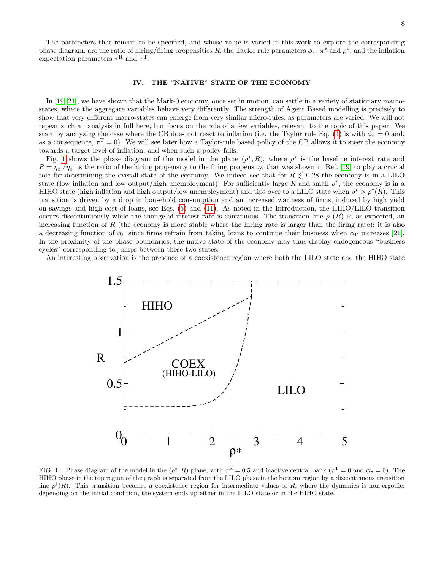## <span id="page-7-0"></span>IV. THE "NATIVE" STATE OF THE ECONOMY

In [\[19,](#page-17-14) [21\]](#page-17-15), we have shown that the Mark-0 economy, once set in motion, can settle in a variety of stationary macrostates, where the aggregate variables behave very differently. The strength of Agent Based modelling is precisely to show that very different macro-states can emerge from very similar micro-rules, as parameters are varied. We will not repeat such an analysis in full here, but focus on the role of a few variables, relevant to the topic of this paper. We start by analyzing the case where the CB does not react to inflation (i.e. the Taylor rule Eq. [\(4\)](#page-3-1) is with  $\phi_{\pi} = 0$  and, as a consequence,  $\tau^T = 0$ ). We will see later how a Taylor-rule based policy of the CB allows it to steer the economy towards a target level of inflation, and when such a policy fails.

Fig. [1](#page-7-1) shows the phase diagram of the model in the plane  $(\rho^*, R)$ , where  $\rho^*$  is the baseline interest rate and  $R = \eta_0^+/\eta_0^-$  is the ratio of the hiring propensity to the firing propensity, that was shown in Ref. [\[19\]](#page-17-14) to play a crucial role for determining the overall state of the economy. We indeed see that for  $R \leq 0.28$  the economy is in a LILO state (low inflation and low output/high unemployment). For sufficiently large R and small  $\rho^*$ , the economy is in a HIHO state (high inflation and high output/low unemployment) and tips over to a LILO state when  $\rho^* > \rho^{\dagger}(R)$ . This transition is driven by a drop in household consumption and an increased wariness of firms, induced by high yield on savings and high cost of loans, see Eqs. [\(5\)](#page-4-4) and [\(11\)](#page-5-3). As noted in the Introduction, the HIHO/LILO transition occurs discontinuously while the change of interest rate is continuous. The transition line  $\rho^{\dagger}(R)$  is, as expected, an increasing function of  $R$  (the economy is more stable where the hiring rate is larger than the firing rate); it is also a decreasing function of  $\alpha_{\Gamma}$  since firms refrain from taking loans to continue their business when  $\alpha_{\Gamma}$  increases [\[21\]](#page-17-15). In the proximity of the phase boundaries, the native state of the economy may thus display endogeneous "business cycles" corresponding to jumps between these two states.

An interesting observation is the presence of a coexistence region where both the LILO state and the HIHO state



<span id="page-7-1"></span>FIG. 1: Phase diagram of the model in the  $(\rho^*, R)$  plane, with  $\tau^R = 0.5$  and inactive central bank  $(\tau^T = 0$  and  $\phi_{\pi} = 0)$ . The HIHO phase in the top region of the graph is separated from the LILO phase in the bottom region by a discontinuous transition line  $\rho^{\dagger}(R)$ . This transition becomes a coexistence region for intermediate values of R, where the dynamics is non-ergodic: depending on the initial condition, the system ends up either in the LILO state or in the HIHO state.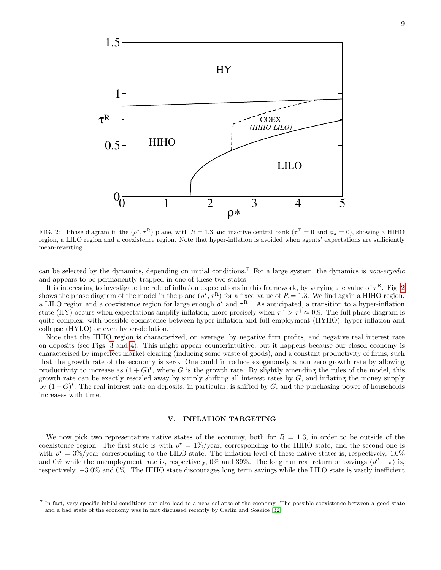

<span id="page-8-1"></span>FIG. 2: Phase diagram in the  $(\rho^*, \tau^R)$  plane, with  $R = 1.3$  and inactive central bank  $(\tau^T = 0$  and  $\phi_\pi = 0)$ , showing a HIHO region, a LILO region and a coexistence region. Note that hyper-inflation is avoided when agents' expectations are sufficiently mean-reverting.

can be selected by the dynamics, depending on initial conditions.<sup>7</sup> For a large system, the dynamics is non-ergodic and appears to be permanently trapped in one of these two states.

It is interesting to investigate the role of inflation expectations in this framework, by varying the value of  $\tau^R$ . Fig. [2](#page-8-1) shows the phase diagram of the model in the plane  $(\rho^*, \tau^R)$  for a fixed value of  $R = 1.3$ . We find again a HIHO region, a LILO region and a coexistence region for large enough  $\rho^*$  and  $\tau^R$ . As anticipated, a transition to a hyper-inflation state (HY) occurs when expectations amplify inflation, more precisely when  $\tau^R > \tau^{\dagger} \approx 0.9$ . The full phase diagram is quite complex, with possible coexistence between hyper-inflation and full employment (HYHO), hyper-inflation and collapse (HYLO) or even hyper-deflation.

Note that the HIHO region is characterized, on average, by negative firm profits, and negative real interest rate on deposits (see Figs. [3](#page-9-0) and [4\)](#page-11-1). This might appear counterintuitive, but it happens because our closed economy is characterised by imperfect market clearing (inducing some waste of goods), and a constant productivity of firms, such that the growth rate of the economy is zero. One could introduce exogenously a non zero growth rate by allowing productivity to increase as  $(1+G)^t$ , where G is the growth rate. By slightly amending the rules of the model, this growth rate can be exactly rescaled away by simply shifting all interest rates by  $G$ , and inflating the money supply by  $(1+G)^t$ . The real interest rate on deposits, in particular, is shifted by G, and the purchasing power of households increases with time.

## <span id="page-8-0"></span>V. INFLATION TARGETING

We now pick two representative native states of the economy, both for  $R = 1.3$ , in order to be outside of the coexistence region. The first state is with  $\rho^* = 1\%$ /year, corresponding to the HIHO state, and the second one is with  $\rho^* = 3\%/year$  corresponding to the LILO state. The inflation level of these native states is, respectively, 4.0% and 0% while the unemployment rate is, respectively, 0% and 39%. The long run real return on savings  $\langle \rho^d - \pi \rangle$  is, respectively, −3.0% and 0%. The HIHO state discourages long term savings while the LILO state is vastly inefficient

<sup>&</sup>lt;sup>7</sup> In fact, very specific initial conditions can also lead to a near collapse of the economy. The possible coexistence between a good state and a bad state of the economy was in fact discussed recently by Carlin and Soskice [\[32\]](#page-18-1).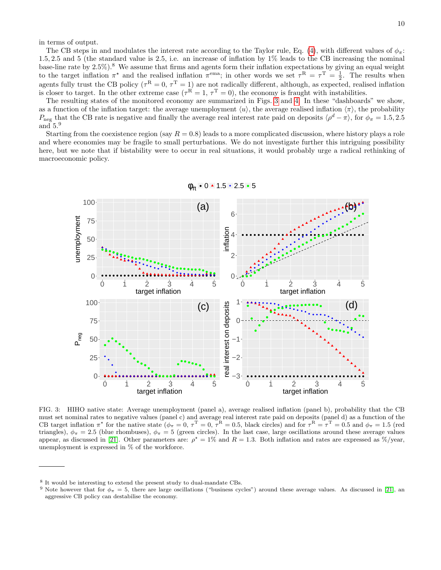in terms of output.

The CB steps in and modulates the interest rate according to the Taylor rule, Eq. [\(4\)](#page-3-1), with different values of  $\phi_{\pi}$ : 1.5, 2.5 and 5 (the standard value is 2.5, i.e. an increase of inflation by 1% leads to the CB increasing the nominal base-line rate by  $2.5\%$ ).<sup>8</sup> We assume that firms and agents form their inflation expectations by giving an equal weight to the target inflation  $\pi^*$  and the realised inflation  $\pi^{ema}$ ; in other words we set  $\tau^R = \tau^T = \frac{1}{2}$ . The results when agents fully trust the CB policy ( $\tau^R = 0$ ,  $\tau^T = 1$ ) are not radically different, although, as expected, realised inflation is closer to target. In the other extreme case  $({\tau}^{\overline{R}}=1, {\tau}^{\overline{T}}=0)$ , the economy is fraught with instabilities.

The resulting states of the monitored economy are summarized in Figs. [3](#page-9-0) and [4.](#page-11-1) In these "dashboards" we show, as a function of the inflation target: the average unemployment  $\langle u \rangle$ , the average realised inflation  $\langle \pi \rangle$ , the probability  $P_{\text{neg}}$  that the CB rate is negative and finally the average real interest rate paid on deposits  $\langle \rho^d - \pi \rangle$ , for  $\phi_{\pi} = 1.5, 2.5$ and  $5.^9$ 

Starting from the coexistence region (say  $R = 0.8$ ) leads to a more complicated discussion, where history plays a role and where economies may be fragile to small perturbations. We do not investigate further this intriguing possibility here, but we note that if bistability were to occur in real situations, it would probably urge a radical rethinking of macroeconomic policy.



 $\phi_\pi$  • 0 • 1.5 • 2.5 • 5

<span id="page-9-0"></span>FIG. 3: HIHO native state: Average unemployment (panel a), average realised inflation (panel b), probability that the CB must set nominal rates to negative values (panel c) and average real interest rate paid on deposits (panel d) as a function of the CB target inflation  $\pi^*$  for the native state  $(\phi_\pi = 0, \tau^T = 0, \tau^R = 0.5$ , black circles) and for  $\tau^R = \tau^T = 0.5$  and  $\phi_\pi = 1.5$  (red triangles),  $\phi_{\pi} = 2.5$  (blue rhombuses),  $\phi_{\pi} = 5$  (green circles). In the last case, large oscillations around these average values appear, as discussed in [\[21\]](#page-17-15). Other parameters are:  $\rho^* = 1\%$  and  $R = 1.3$ . Both inflation and rates are expressed as  $\%$ /year, unemployment is expressed in % of the workforce.

<sup>8</sup> It would be interesting to extend the present study to dual-mandate CBs.

<sup>&</sup>lt;sup>9</sup> Note however that for  $\phi_{\pi} = 5$ , there are large oscillations ("business cycles") around these average values. As discussed in [\[21\]](#page-17-15), an aggressive CB policy can destabilise the economy.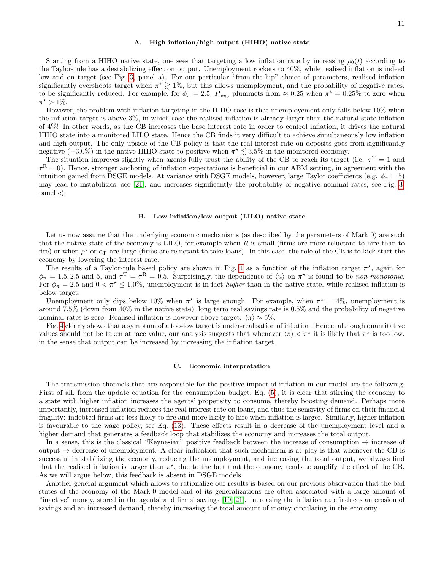## <span id="page-10-0"></span>A. High inflation/high output (HIHO) native state

Starting from a HIHO native state, one sees that targeting a low inflation rate by increasing  $\rho_0(t)$  according to the Taylor-rule has a destabilizing effect on output. Unemployment rockets to 40%, while realised inflation is indeed low and on target (see Fig. [3,](#page-9-0) panel a). For our particular "from-the-hip" choice of parameters, realised inflation significantly overshoots target when  $\pi^* \geq 1\%$ , but this allows unemployment, and the probability of negative rates, to be significantly reduced. For example, for  $\phi_{\pi} = 2.5$ ,  $P_{\text{neg}}$  plummets from  $\approx 0.25$  when  $\pi^* = 0.25\%$  to zero when  $\pi^{\star} > 1\%.$ 

However, the problem with inflation targeting in the HIHO case is that unemployement only falls below 10% when the inflation target is above 3%, in which case the realised inflation is already larger than the natural state inflation of 4%! In other words, as the CB increases the base interest rate in order to control inflation, it drives the natural HIHO state into a monitored LILO state. Hence the CB finds it very difficult to achieve simultaneously low inflation and high output. The only upside of the CB policy is that the real interest rate on deposits goes from significantly negative  $(-3.0\%)$  in the native HIHO state to positive when  $\pi^* \lesssim 3.5\%$  in the monitored economy.

The situation improves slightly when agents fully trust the ability of the CB to reach its target (i.e.  $\tau$ <sup>T</sup> = 1 and  $\tau^{\rm R}=0$ ). Hence, stronger anchoring of inflation expectations is beneficial in our ABM setting, in agreement with the intuition gained from DSGE models. At variance with DSGE models, however, large Taylor coefficients (e.g.  $\phi_{\pi} = 5$ ) may lead to instabilities, see [\[21\]](#page-17-15), and increases significantly the probability of negative nominal rates, see Fig. [3,](#page-9-0) panel c).

### <span id="page-10-1"></span>B. Low inflation/low output (LILO) native state

Let us now assume that the underlying economic mechanisms (as described by the parameters of Mark 0) are such that the native state of the economy is LILO, for example when  $R$  is small (firms are more reluctant to hire than to fire) or when  $\rho^*$  or  $\alpha_{\Gamma}$  are large (firms are reluctant to take loans). In this case, the role of the CB is to kick start the economy by lowering the interest rate.

The results of a Taylor-rule based policy are shown in Fig. [4](#page-11-1) as a function of the inflation target  $\pi^*$ , again for  $\phi_{\pi} = 1.5, 2.5$  and 5, and  $\tau^{\text{T}} = \tau^{\text{R}} = 0.5$ . Surprisingly, the dependence of  $\langle u \rangle$  on  $\pi^*$  is found to be *non-monotonic*. For  $\phi_{\pi} = 2.5$  and  $0 < \pi^* \leq 1.0\%$ , unemployment is in fact *higher* than in the native state, while realised inflation is below target.

Unemployment only dips below 10% when  $\pi^*$  is large enough. For example, when  $\pi^* = 4\%$ , unemployment is around 7.5% (down from 40% in the native state), long term real savings rate is 0.5% and the probability of negative nominal rates is zero. Realised inflation is however above target:  $\langle \pi \rangle \approx 5\%$ .

Fig. [4](#page-11-1) clearly shows that a symptom of a too-low target is under-realisation of inflation. Hence, although quantitative values should not be taken at face value, our analysis suggests that whenever  $\langle \pi \rangle < \pi^*$  it is likely that  $\pi^*$  is too low, in the sense that output can be increased by increasing the inflation target.

### <span id="page-10-2"></span>C. Economic interpretation

The transmission channels that are responsible for the positive impact of inflation in our model are the following. First of all, from the update equation for the consumption budget, Eq. [\(5\)](#page-4-4), it is clear that stirring the economy to a state with higher inflation increases the agents' propensity to consume, thereby boosting demand. Perhaps more importantly, increased inflation reduces the real interest rate on loans, and thus the sensivity of firms on their financial fragility: indebted firms are less likely to fire and more likely to hire when inflation is larger. Similarly, higher inflation is favourable to the wage policy, see Eq. [\(13\)](#page-6-3). These effects result in a decrease of the unemployment level and a higher demand that generates a feedback loop that stabilizes the economy and increases the total output.

In a sense, this is the classical "Keynesian" positive feedback between the increase of consumption  $\rightarrow$  increase of output  $\rightarrow$  decrease of unemployment. A clear indication that such mechanism is at play is that whenever the CB is successful in stabilizing the economy, reducing the unemployment, and increasing the total output, we always find that the realised inflation is larger than  $\pi^*$ , due to the fact that the economy tends to amplify the effect of the CB. As we will argue below, this feedback is absent in DSGE models.

Another general argument which allows to rationalize our results is based on our previous observation that the bad states of the economy of the Mark-0 model and of its generalizations are often associated with a large amount of "inactive" money, stored in the agents' and firms' savings [\[19,](#page-17-14) [21\]](#page-17-15). Increasing the inflation rate induces an erosion of savings and an increased demand, thereby increasing the total amount of money circulating in the economy.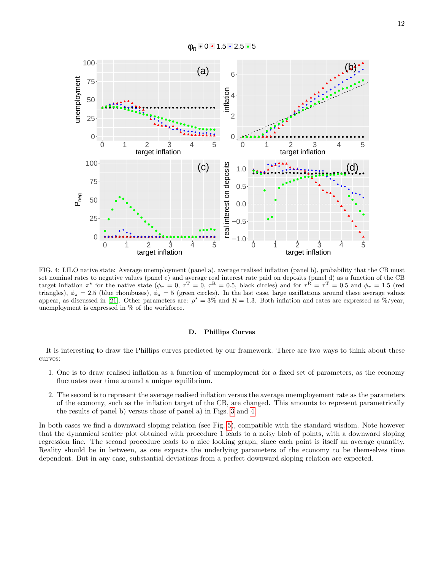

<span id="page-11-1"></span>FIG. 4: LILO native state: Average unemployment (panel a), average realised inflation (panel b), probability that the CB must set nominal rates to negative values (panel c) and average real interest rate paid on deposits (panel d) as a function of the CB target inflation  $\pi^*$  for the native state ( $\phi_{\pi} = 0$ ,  $\tau^{\text{T}} = 0$ ,  $\tau^{\text{R}} = 0.5$ , black circles) and for  $\tau^{\text{R}} = \tau^{\text{T}} = 0.5$  and  $\phi_{\pi} = 1.5$  (red triangles),  $\phi_{\pi} = 2.5$  (blue rhombuses),  $\phi_{\pi} = 5$  (green circles). In the last case, large oscillations around these average values appear, as discussed in [\[21\]](#page-17-15). Other parameters are:  $\rho^* = 3\%$  and  $R = 1.3$ . Both inflation and rates are expressed as  $\%$ /year, unemployment is expressed in % of the workforce.

### <span id="page-11-0"></span>D. Phillips Curves

It is interesting to draw the Phillips curves predicted by our framework. There are two ways to think about these curves:

- 1. One is to draw realised inflation as a function of unemployment for a fixed set of parameters, as the economy fluctuates over time around a unique equilibrium.
- 2. The second is to represent the average realised inflation versus the average unemployement rate as the parameters of the economy, such as the inflation target of the CB, are changed. This amounts to represent parametrically the results of panel b) versus those of panel a) in Figs. [3](#page-9-0) and [4.](#page-11-1)

In both cases we find a downward sloping relation (see Fig. [5\)](#page-12-2), compatible with the standard wisdom. Note however that the dynamical scatter plot obtained with procedure 1 leads to a noisy blob of points, with a downward sloping regression line. The second procedure leads to a nice looking graph, since each point is itself an average quantity. Reality should be in between, as one expects the underlying parameters of the economy to be themselves time dependent. But in any case, substantial deviations from a perfect downward sloping relation are expected.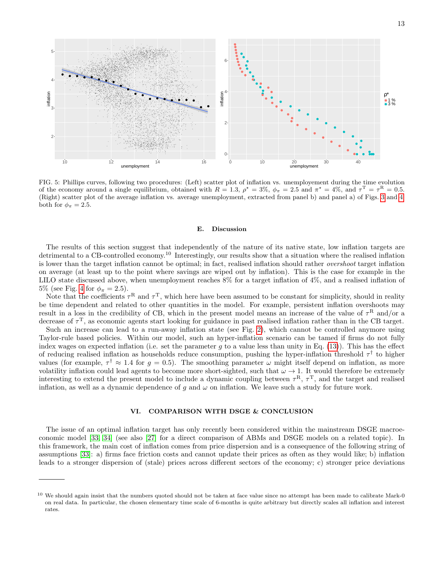

<span id="page-12-2"></span>FIG. 5: Phillips curves, following two procedures: (Left) scatter plot of inflation vs. unemployement during the time evolution of the economy around a single equilibrium, obtained with  $R = 1.3$ ,  $\rho^* = 3\%$ ,  $\phi_{\pi} = 2.5$  and  $\pi^* = 4\%$ , and  $\tau^T = \tau^R = 0.5$ . (Right) scatter plot of the average inflation vs. average unemployment, extracted from panel b) and panel a) of Figs. [3](#page-9-0) and [4,](#page-11-1) both for  $\phi_{\pi} = 2.5$ .

#### <span id="page-12-0"></span>E. Discussion

The results of this section suggest that independently of the nature of its native state, low inflation targets are detrimental to a CB-controlled economy.<sup>10</sup> Interestingly, our results show that a situation where the realised inflation is lower than the target inflation cannot be optimal; in fact, realised inflation should rather overshoot target inflation on average (at least up to the point where savings are wiped out by inflation). This is the case for example in the LILO state discussed above, when unemployment reaches 8% for a target inflation of 4%, and a realised inflation of 5% (see Fig. [4](#page-11-1) for  $\phi_{\pi} = 2.5$ ).

Note that the coefficients  $\tau^{\text{R}}$  and  $\tau^{\text{T}}$ , which here have been assumed to be constant for simplicity, should in reality be time dependent and related to other quantities in the model. For example, persistent inflation overshoots may result in a loss in the credibility of CB, which in the present model means an increase of the value of  $\tau^R$  and/or a decrease of  $\tau^{\text{T}}$ , as economic agents start looking for guidance in past realised inflation rather than in the CB target.

Such an increase can lead to a run-away inflation state (see Fig. [2\)](#page-8-1), which cannot be controlled anymore using Taylor-rule based policies. Within our model, such an hyper-inflation scenario can be tamed if firms do not fully index wages on expected inflation (i.e. set the parameter  $g$  to a value less than unity in Eq. [\(13\)](#page-6-3)). This has the effect of reducing realised inflation as households reduce consumption, pushing the hyper-inflation threshold  $\tau^{\dagger}$  to higher values (for example,  $\tau^{\dagger} \approx 1.4$  for  $g = 0.5$ ). The smoothing parameter  $\omega$  might itself depend on inflation, as more volatility inflation could lead agents to become more short-sighted, such that  $\omega \to 1$ . It would therefore be extremely interesting to extend the present model to include a dynamic coupling between  $\tau^R$ ,  $\tau^T$ , and the target and realised inflation, as well as a dynamic dependence of q and  $\omega$  on inflation. We leave such a study for future work.

## <span id="page-12-1"></span>VI. COMPARISON WITH DSGE & CONCLUSION

The issue of an optimal inflation target has only recently been considered within the mainstream DSGE macroeconomic model [\[33,](#page-18-2) [34\]](#page-18-3) (see also [\[27\]](#page-17-19) for a direct comparison of ABMs and DSGE models on a related topic). In this framework, the main cost of inflation comes from price dispersion and is a consequence of the following string of assumptions [\[33\]](#page-18-2): a) firms face friction costs and cannot update their prices as often as they would like; b) inflation leads to a stronger dispersion of (stale) prices across different sectors of the economy; c) stronger price deviations

<sup>&</sup>lt;sup>10</sup> We should again insist that the numbers quoted should not be taken at face value since no attempt has been made to calibrate Mark-0 on real data. In particular, the chosen elementary time scale of 6-months is quite arbitrary but directly scales all inflation and interest rates.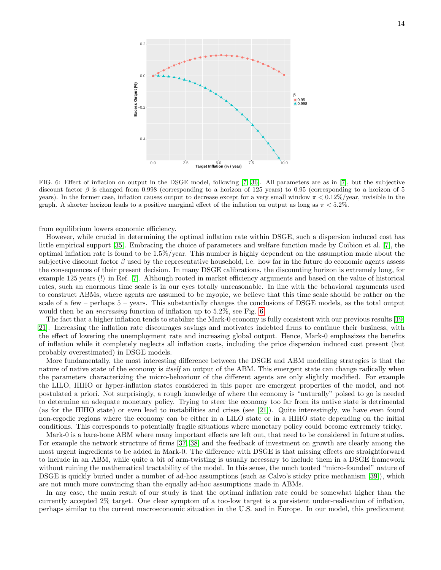

<span id="page-13-0"></span>FIG. 6: Effect of inflation on output in the DSGE model, following [\[7,](#page-17-7) [36\]](#page-18-4). All parameters are as in [\[7\]](#page-17-7), but the subjective discount factor  $\beta$  is changed from 0.998 (corresponding to a horizon of 125 years) to 0.95 (corresponding to a horizon of 5 years). In the former case, inflation causes output to decrease except for a very small window  $\pi < 0.12\%$ /year, invisible in the graph. A shorter horizon leads to a positive marginal effect of the inflation on output as long as  $\pi < 5.2\%$ .

from equilibrium lowers economic efficiency.

However, while crucial in determining the optimal inflation rate within DSGE, such a dispersion induced cost has little empirical support [\[35\]](#page-18-5). Embracing the choice of parameters and welfare function made by Coibion et al. [\[7\]](#page-17-7), the optimal inflation rate is found to be 1.5%/year. This number is highly dependent on the assumption made about the subjective discount factor  $\beta$  used by the representative household, i.e. how far in the future do economic agents assess the consequences of their present decision. In many DSGE calibrations, the discounting horizon is extremely long, for example 125 years (!) in Ref. [\[7\]](#page-17-7). Although rooted in market efficiency arguments and based on the value of historical rates, such an enormous time scale is in our eyes totally unreasonable. In line with the behavioral arguments used to construct ABMs, where agents are assumed to be myopic, we believe that this time scale should be rather on the scale of a few – perhaps 5 – years. This substantially changes the conclusions of DSGE models, as the total output would then be an increasing function of inflation up to 5.2%, see Fig. [6.](#page-13-0)

The fact that a higher inflation tends to stabilize the Mark-0 economy is fully consistent with our previous results [\[19,](#page-17-14) [21\]](#page-17-15). Increasing the inflation rate discourages savings and motivates indebted firms to continue their business, with the effect of lowering the unemployment rate and increasing global output. Hence, Mark-0 emphasizes the benefits of inflation while it completely neglects all inflation costs, including the price dispersion induced cost present (but probably overestimated) in DSGE models.

More fundamentally, the most interesting difference between the DSGE and ABM modelling strategies is that the nature of native state of the economy is *itself* an output of the ABM. This emergent state can change radically when the parameters characterizing the micro-behaviour of the different agents are only slightly modified. For example the LILO, HIHO or hyper-inflation states considered in this paper are emergent properties of the model, and not postulated a priori. Not surprisingly, a rough knowledge of where the economy is "naturally" poised to go is needed to determine an adequate monetary policy. Trying to steer the economy too far from its native state is detrimental (as for the HIHO state) or even lead to instabilities and crises (see [\[21\]](#page-17-15)). Quite interestingly, we have even found non-ergodic regions where the economy can be either in a LILO state or in a HIHO state depending on the initial conditions. This corresponds to potentially fragile situations where monetary policy could become extremely tricky.

Mark-0 is a bare-bone ABM where many important effects are left out, that need to be considered in future studies. For example the network structure of firms [\[37,](#page-18-6) [38\]](#page-18-7) and the feedback of investment on growth are clearly among the most urgent ingredients to be added in Mark-0. The difference with DSGE is that missing effects are straightforward to include in an ABM, while quite a bit of arm-twisting is usually necessary to include them in a DSGE framework without ruining the mathematical tractability of the model. In this sense, the much touted "micro-founded" nature of DSGE is quickly buried under a number of ad-hoc assumptions (such as Calvo's sticky price mechanism [\[39\]](#page-18-8)), which are not much more convincing than the equally ad-hoc assumptions made in ABMs.

In any case, the main result of our study is that the optimal inflation rate could be somewhat higher than the currently accepted 2% target. One clear symptom of a too-low target is a persistent under-realisation of inflation, perhaps similar to the current macroeconomic situation in the U.S. and in Europe. In our model, this predicament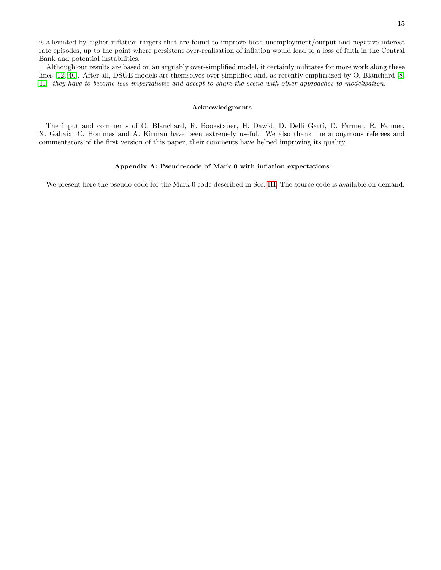is alleviated by higher inflation targets that are found to improve both unemployment/output and negative interest rate episodes, up to the point where persistent over-realisation of inflation would lead to a loss of faith in the Central Bank and potential instabilities.

Although our results are based on an arguably over-simplified model, it certainly militates for more work along these lines [\[12,](#page-17-10) [40\]](#page-18-9). After all, DSGE models are themselves over-simplified and, as recently emphasized by O. Blanchard [\[8,](#page-17-8) [41\]](#page-18-10), they have to become less imperialistic and accept to share the scene with other approaches to modelisation.

### <span id="page-14-0"></span>Acknowledgments

The input and comments of O. Blanchard, R. Bookstaber, H. Dawid, D. Delli Gatti, D. Farmer, R. Farmer, X. Gabaix, C. Hommes and A. Kirman have been extremely useful. We also thank the anonymous referees and commentators of the first version of this paper, their comments have helped improving its quality.

## <span id="page-14-1"></span>Appendix A: Pseudo-code of Mark 0 with inflation expectations

We present here the pseudo-code for the Mark 0 code described in Sec. [III.](#page-2-1) The source code is available on demand.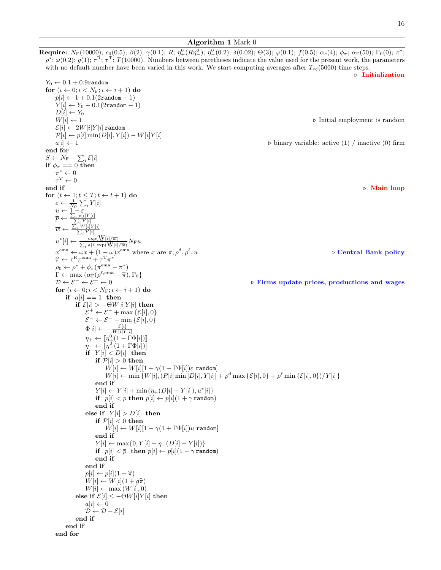### Algorithm 1 Mark 0

**Require:**  $N_F(10000)$ ;  $c_0(0.5)$ ;  $\beta(2)$ ;  $\gamma(0.1)$ ; R;  $\eta_+^0(R\eta_-^0)$ ;  $\eta_-^0(0.2)$ ;  $\delta(0.02)$ ;  $\Theta(3)$ ;  $\varphi(0.1)$ ;  $f(0.5)$ ;  $\alpha_c(4)$ ;  $\phi_\pi$ ;  $\alpha_\Gamma(50)$ ;  $\Gamma_0(0)$ ;  $\pi^*$ ;  $\rho^*$ ;  $\omega(0.2)$ ;  $g(1)$ ;  $\tau^R$ ;  $\tau^T$ ;  $T(10000)$ . Numbers between paretheses indicate the value used for the present work, the parameters with no default number have been varied in this work. We start computing averages after  $T_{eq}(5000)$  time steps.  $\triangleright$  Initialization  $Y_0 \leftarrow 0.1 + 0.9$ random for  $(i \leftarrow 0; i < N_{\mathrm{F}}; i \leftarrow i + 1)$  do  $p[i] \leftarrow 1 + 0.1(2 \text{random} - 1)$  $Y[i] \leftarrow Y_0 + 0.1(2 \text{random} - 1)$  $D[i] \leftarrow Y_0$  $W[i] \leftarrow 1$   $\triangleright$  Initial employment is random  $\mathcal{E}[i] \leftarrow 2W[i]Y[i]$  random  $\mathcal{P}[i] \leftarrow p[i] \min(D[i], Y[i]) - W[i]Y[i]$  $a[i] \leftarrow 1$  . binary variable: active (1) / inactive (0) firm end for  $S \leftarrow N_{\text{F}} - \sum_{i} \mathcal{E}[i]$ if  $\phi_{\pi} == 0$  then  $\pi^* \leftarrow 0$  $\tau^T \leftarrow 0$ end if  $\Box$  Main loop for  $(t \leftarrow 1; t \leq T; t \leftarrow t + 1)$  do  $\varepsilon \leftarrow \frac{1}{N_{\text{F}}} \sum_i Y[i]$  $u \leftarrow \underline{1} - \varepsilon$  $\bar{p} \leftarrow \frac{\sum_i p[i]Y[i]}{\sum_i Y[i]}$  $\frac{\sum_i Y[i]}{\sum_i W[i]Y[i]}$ <br> $\frac{\sum_i Y[i]}{\sum_i Y[i]}$  $\overline{w}$  $u^*[i] \leftarrow \frac{\exp(\mathbf{W}[i]/\overline{w})}{\sum_i a[i] \exp(\mathbf{W}[i]/\overline{w})} N_{\mathrm{F}} u$  $\exp(\mathop{\rm W}[i]/\overline{w})$  $x^{\text{ema}} \leftarrow \omega x + (1 - \omega)x^{\text{ema}}$  where x are  $\pi, \rho^{\text{d}}, \rho^{\ell}$  $\triangleright$  Central Bank policy  $\widehat{\pi} \leftarrow \tau^{\rm R} \pi^{\rm ema} + \tau^{\rm T} \pi^*$ <br>es  $\leftarrow e^{\star} + \phi$  ( $\pi^{\rm ema}$ )  $\rho_0 \leftarrow \rho^{\star} + \phi_{\pi}(\pi^{\text{ema}} - \pi^*)$  $\Gamma \leftarrow \max \{ \alpha_{\Gamma}(\rho^{\ell,ema} - \hat{\pi}), \Gamma_0 \}$ <br>  $\mathcal{D} \leftarrow \mathcal{E}^- \leftarrow \mathcal{E}^+ \leftarrow 0$  $D \leftarrow \mathcal{E}^- \leftarrow \mathcal{E}^+ \leftarrow 0$  . Firms update prices, productions and wages for  $(i \leftarrow 0; i < N_F; i \leftarrow i + 1)$  do if  $a[i] == 1$  then if  $\mathcal{E}[i] > -\Theta W[i] Y[i]$  then  $\mathcal{E}^+ \leftarrow \mathcal{E}^+ + \max \{ \mathcal{E}[i], 0 \}$  $\mathcal{E}^- \leftarrow \mathcal{E}^- - \min \{\mathcal{E}[i], 0\}$  $\Phi[i] \leftarrow -\frac{\mathcal{E}[i]}{W[i]Y[i]}$  $\eta_+ \leftarrow [\![\eta_+^0(1-\Gamma \Phi[i])]\!]$  $\eta_- \leftarrow \llbracket \eta_-^0(1 + \Gamma \Phi[i]) \rrbracket$ if  $Y[i] < D[i]$  then if  $\mathcal{P}[i]>0$  then  $W[i] \leftarrow W[i][1 + \gamma(1 - \Gamma \Phi[i])\varepsilon \text{ random}]$  $W[i] \leftarrow \min \{W[i], (P[i] \min [D[i], Y[i]] + \rho^d \max \{E[i], 0\} + \rho^{\ell} \min \{E[i], 0\})/Y[i]\}$ end if  $Y[i] \leftarrow Y[i] + \min\{\eta_+(D[i] - Y[i]), u^*[i]\}$ if  $p[i] < \overline{p}$  then  $p[i] \leftarrow p[i](1 + \gamma \text{ random})$ end if else if  $Y[i] > D[i]$  then if  $\mathcal{P}[i] < 0$  then  $W[i] \leftarrow W[i][1 - \gamma(1 + \Gamma \Phi[i])u \text{ random}]$ end if  $Y[i] \leftarrow \max\{0, Y[i] - \eta_{-}(D[i] - Y[i])\}$ if  $p[i] < \overline{p}$  then  $p[i] \leftarrow p[i](1 - \gamma \text{ random})$ end if end if  $p[i] \leftarrow p[i](1+\hat{\pi})$  $W[i] \leftarrow W[i](1 + g\hat{\pi})$  $W[i] \leftarrow \max(W[i], 0)$ else if  $\mathcal{E}[i] \le -\Theta W[i] Y[i]$  then  $a[i] \leftarrow 0$ 

end if end if

```
end for
```
 $\mathcal{D} \leftarrow \mathcal{D} - \mathcal{E}[i]$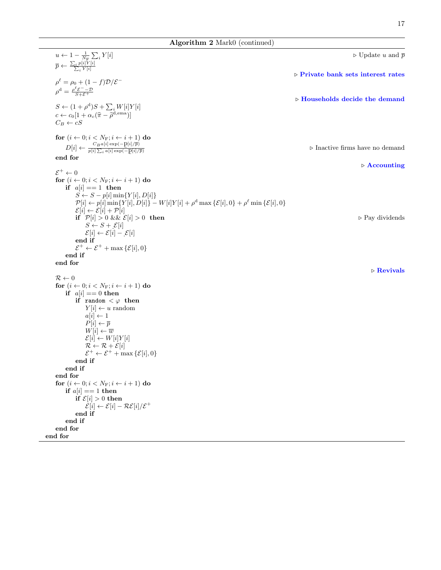## Algorithm 2 Mark0 (continued)

 $u \leftarrow 1 - \frac{1}{N_F} \sum_i$  $\triangleright$  Update u and  $\overline{p}$  $\overline{p} \leftarrow \frac{\sum_i p[i]Y[i]}{\sum_i Y[i]}$  $\triangleright$  Private bank sets interest rates  $\rho^{\ell} = \rho_0 + (1 - f) \mathcal{D} / \mathcal{E}^{-1}$  $\rho^{\rm d} = \frac{\rho^{\ell} \mathcal{E}^{-} - \mathcal{D}}{S + \mathcal{E}^{+}}$  $\triangleright$  Households decide the demand  $S \leftarrow (1+\rho^{\rm d})S + \sum_i W[i]Y[i]$  $c \leftarrow c_0[1 + \alpha_c(\hat{\pi} - \hat{\rho}^{\text{d,ema}})]$  $C_B \leftarrow cS$ for  $(i \leftarrow 0; i < N_F; i \leftarrow i + 1)$  do  $D[i] \leftarrow \frac{C_B a[i] \exp(-\mathrm{p}[i]/\overline{p})}{p[i] \sum_i a[i] \exp(-\mathrm{p}[i]/\overline{p})}$  $\overline{p[i] \sum_i a[i] \exp(-\underline{p}[i]/\overline{p})}$  $\triangleright$  Inactive firms have no demand end for  $\triangleright$  Accounting  $\mathcal{E}^+ \leftarrow 0$ for  $(i \leftarrow 0; i < N_F; i \leftarrow i + 1)$  do if  $a[i] == 1$  then  $S \leftarrow S - p[i] \min\{Y[i], D[i]\}$  $\mathcal{P}[i] \leftarrow p[i] \min\{Y[i], D[i]\} - W[i]Y[i] + \rho^{\text{d}} \max\{\mathcal{E}[i], 0\} + \rho^{\ell} \min\{\mathcal{E}[i], 0\}$  $\mathcal{E}[i] \leftarrow \mathcal{E}[i] + \mathcal{P}[i]$ if  $\mathcal{P}[i] > 0$  &  $\& \mathcal{E}[i] > 0$  then  $\triangleright$  Pay dividends  $S \leftarrow S + \mathcal{E}[i]$  $\mathcal{E}[i] \leftarrow \mathcal{E}[i] - \mathcal{E}[i]$ end if  $\mathcal{E}^+ \leftarrow \mathcal{E}^+ + \max \{ \mathcal{E}[i], 0 \}$ end if end for  $\triangleright$  Revivals  $\mathcal{R} \leftarrow 0$ for  $(i \leftarrow 0; i < N_F; i \leftarrow i + 1)$  do if  $a[i] == 0$  then if random  $\langle \varphi \rangle$  then  $Y[i] \leftarrow u$  random  $a[i] \leftarrow 1$  $P[i] \leftarrow \overline{p}$  $W[i] \leftarrow \overline{w}$  $\mathcal{E}[i] \leftarrow W[i]Y[i]$  $\mathcal{R} \leftarrow \mathcal{R} + \mathcal{E}[i]$  $\mathcal{E}^+ \leftarrow \mathcal{E}^+ + \max \{ \mathcal{E}[i], 0 \}$ end if end if end for for  $(i \leftarrow 0; i < N_F; i \leftarrow i + 1)$  do if  $a[i] == 1$  then if  $\mathcal{E}[i] > 0$  then  $\mathcal{E}[i] \leftarrow \mathcal{E}[i] - \mathcal{RE}[i]/\mathcal{E}^+$ end if end if end for end for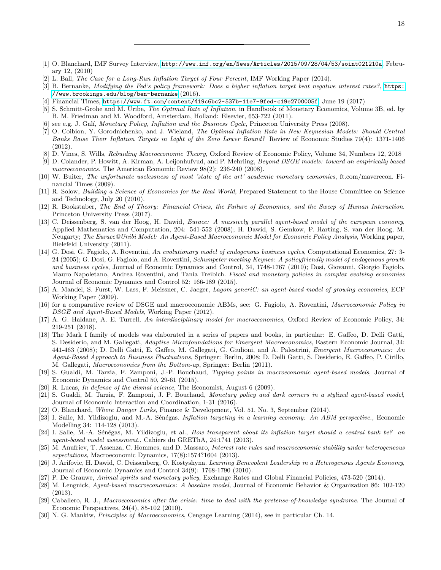- <span id="page-17-1"></span><span id="page-17-0"></span>[1] O. Blanchard, IMF Survey Interview, <http://www.imf.org/en/News/Articles/2015/09/28/04/53/soint021210a>, February 12, (2010)
- <span id="page-17-2"></span>[2] L. Ball, The Case for a Long-Run Inflation Target of Four Percent, IMF Working Paper (2014).
- <span id="page-17-3"></span>[3] B. Bernanke, Modifying the Fed's policy framework: Does a higher inflation target beat negative interest rates?, [https:](https://www.brookings.edu/blog/ben-bernanke) [//www.brookings.edu/blog/ben-bernanke](https://www.brookings.edu/blog/ben-bernanke) (2016).
- <span id="page-17-4"></span>[4] Financial Times, <https://www.ft.com/content/419c6bc2-537b-11e7-9fed-c19e2700005f>, June 19 (2017)
- <span id="page-17-5"></span>[5] S. Schmitt-Grohe and M. Uribe, *The Optimal Rate of Inflation*, in Handbook of Monetary Economics, Volume 3B, ed. by B. M. Friedman and M. Woodford, Amsterdam, Holland: Elsevier, 653-722 (2011).
- <span id="page-17-6"></span>[6] see e.g. J. Galí, Monetary Policy, Inflation and the Business Cycle, Princeton University Press (2008).
- <span id="page-17-7"></span>[7] O. Coibion, Y. Gorodnichenko, and J. Wieland, The Optimal Inflation Rate in New Keynesian Models: Should Central Banks Raise Their Inflation Targets in Light of the Zero Lower Bound? Review of Economic Studies 79(4): 1371-1406 (2012).
- <span id="page-17-8"></span>[8] D. Vines, S. Wills, Rebuiding Macroeconomic Theory, Oxford Review of Economic Policy, Volume 34, Numbers 12, 2018
- <span id="page-17-9"></span>[9] D. Colander, P. Howitt, A. Kirman, A. Leijonhufvud, and P. Mehrling, Beyond DSGE models: toward an empirically based macroeconomics. The American Economic Review 98(2): 236-240 (2008).
- <span id="page-17-22"></span>[10] W. Buiter, The unfortunate uselessness of most 'state of the art' academic monetary economics, ft.com/maverecon. Financial Times (2009).
- [11] R. Solow, Building a Science of Economics for the Real World, Prepared Statement to the House Committee on Science and Technology, July 20 (2010).
- <span id="page-17-10"></span>[12] R. Bookstaber, The End of Theory: Financial Crises, the Failure of Economics, and the Sweep of Human Interaction. Princeton University Press (2017).
- <span id="page-17-11"></span>[13] C. Deissenberg, S. van der Hoog, H. Dawid, Eurace: A massively parallel agent-based model of the european economy, Applied Mathematics and Computation, 204: 541-552 (2008); H. Dawid, S. Gemkow, P. Harting, S. van der Hoog, M. Neugarty; The Eurace@Unibi Model: An Agent-Based Macroeconomic Model for Economic Policy Analysis, Working paper, Bielefeld University (2011).
- <span id="page-17-17"></span>[14] G. Dosi, G. Fagiolo, A. Roventini, An evolutionary model of endogenous business cycles, Computational Economics, 27: 3- 24 (2005); G. Dosi, G. Fagiolo, and A. Roventini, Schumpeter meeting Keynes: A policyfriendly model of endogenous growth and business cycles, Journal of Economic Dynamics and Control, 34, 1748-1767 (2010); Dosi, Giovanni, Giorgio Fagiolo, Mauro Napoletano, Andrea Roventini, and Tania Treibich. Fiscal and monetary policies in complex evolving economies Journal of Economic Dynamics and Control 52: 166-189 (2015).
- [15] A. Mandel, S. Furst, W. Lass, F. Meissner, C. Jaeger, Lagom generiC: an agent-based model of growing economies, ECF Working Paper (2009).
- [16] for a comparative review of DSGE and macroeconomic ABMs, see: G. Fagiolo, A. Roventini, Macroeconomic Policy in DSGE and Agent-Based Models, Working Paper (2012).
- <span id="page-17-12"></span>[17] A. G. Haldane, A. E. Turrell, An interdisciplinary model for macroeconomics, Oxford Review of Economic Policy, 34: 219-251 (2018).
- <span id="page-17-13"></span>[18] The Mark I family of models was elaborated in a series of papers and books, in particular: E. Gaffeo, D. Delli Gatti, S. Desiderio, and M. Gallegati, Adaptive Microfoundations for Emergent Macroeconomics, Eastern Economic Journal, 34: 441-463 (2008); D. Delli Gatti, E. Gaffeo, M. Gallegati, G. Giulioni, and A. Palestrini, Emergent Macroeconomics: An Agent-Based Approach to Business Fluctuations, Springer: Berlin, 2008; D. Delli Gatti, S. Desiderio, E. Gaffeo, P. Cirillo, M. Gallegati, Macroeconomics from the Bottom-up, Springer: Berlin (2011).
- <span id="page-17-14"></span>[19] S. Gualdi, M. Tarzia, F. Zamponi, J.-P. Bouchaud, Tipping points in macroeconomic agent-based models, Journal of Economic Dynamics and Control 50, 29-61 (2015).
- <span id="page-17-21"></span>[20] R. Lucas, In defense of the dismal science, The Economist, August 6 (2009).
- <span id="page-17-15"></span>[21] S. Gualdi, M. Tarzia, F. Zamponi, J. P. Bouchaud, Monetary policy and dark corners in a stylized agent-based model, Journal of Economic Interaction and Coordination, 1-31 (2016).
- <span id="page-17-16"></span>[22] O. Blanchard, Where Danger Lurks, Finance & Development, Vol. 51, No. 3, September (2014).
- <span id="page-17-18"></span>[23] I. Salle, M. Yildizoglu, and M.-A. Sénégas. *Inflation targeting in a learning economy: An ABM perspective.*, Economic Modelling 34: 114-128 (2013).
- [24] I. Salle, M.-A. Sénégas, M. Yildizoglu, et al., How transparent about its inflation target should a central bank be? an agent-based model assessment., Cahiers du GREThA, 24:1?41 (2013).
- [25] M. Anufriev, T. Assenza, C. Hommes, and D. Massaro, Interest rate rules and macroeconomic stability under heterogeneous expectations, Macroeconomic Dynamics, 17(8):1574?1604 (2013).
- [26] J. Arifovic, H. Dawid, C. Deissenberg, O. Kostyshyna. Learning Benevolent Leadership in a Heterogenous Agents Economy, Journal of Economic Dynamics and Control 34(9): 1768-1790 (2010).
- <span id="page-17-19"></span>[27] P. De Grauwe, Animal spirits and monetary policy, Exchange Rates and Global Financial Policies, 473-520 (2014).
- <span id="page-17-20"></span>[28] M. Lengnick, Agent-based macroeconomics: A baseline model, Journal of Economic Behavior & Organization 86: 102-120 (2013).
- <span id="page-17-23"></span>[29] Caballero, R. J., Macroeconomics after the crisis: time to deal with the pretense-of-knowledge syndrome. The Journal of Economic Perspectives, 24(4), 85-102 (2010).
- <span id="page-17-24"></span>[30] N. G. Mankiw, Principles of Macroeconomics, Cengage Learning (2014), see in particular Ch. 14.